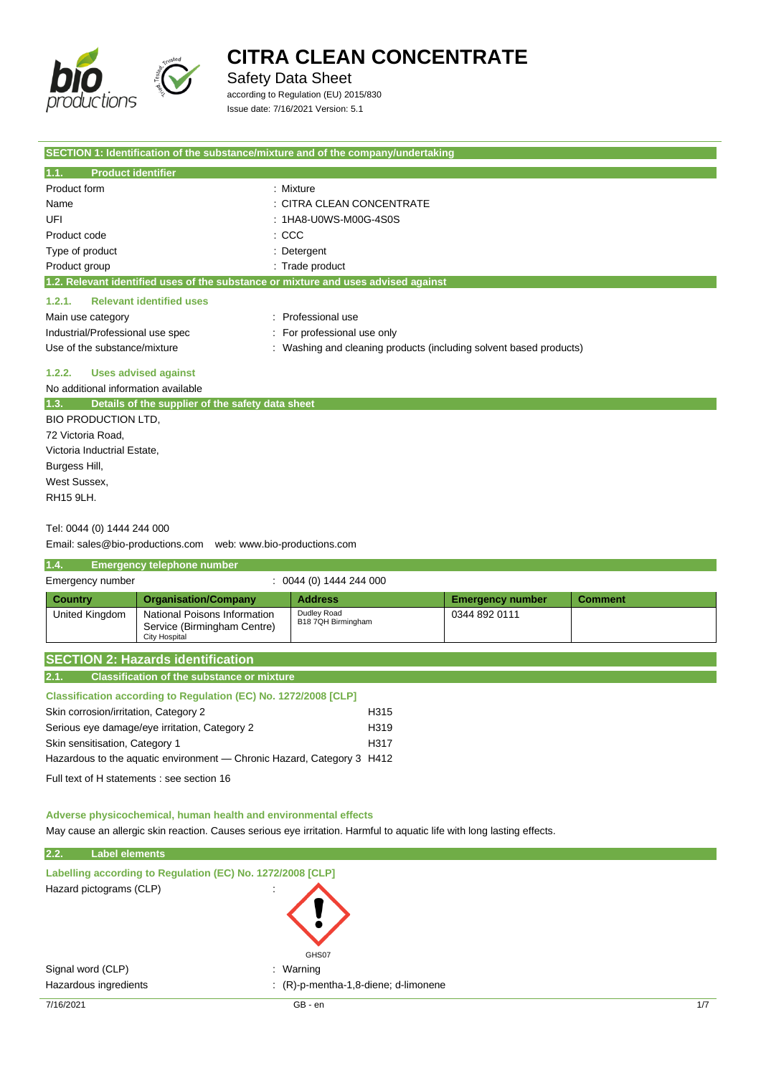

Safety Data Sheet

according to Regulation (EU) 2015/830 Issue date: 7/16/2021 Version: 5.1

| SECTION 1: Identification of the substance/mixture and of the company/undertaking  |                                                                  |
|------------------------------------------------------------------------------------|------------------------------------------------------------------|
| 1.1.<br><b>Product identifier</b>                                                  |                                                                  |
| Product form                                                                       | : Mixture                                                        |
| Name                                                                               | : CITRA CLEAN CONCENTRATE                                        |
| UFI                                                                                | : 1HA8-U0WS-M00G-4S0S                                            |
| Product code                                                                       | $:$ CCC                                                          |
| Type of product                                                                    | : Detergent                                                      |
| Product group                                                                      | : Trade product                                                  |
| 1.2. Relevant identified uses of the substance or mixture and uses advised against |                                                                  |
| <b>Relevant identified uses</b><br>1.2.1.                                          |                                                                  |
| Main use category                                                                  | Professional use                                                 |
| Industrial/Professional use spec                                                   | For professional use only                                        |
| Use of the substance/mixture                                                       | Washing and cleaning products (including solvent based products) |
| <b>Uses advised against</b><br>1.2.2.                                              |                                                                  |
| No additional information available                                                |                                                                  |
| 1.3.<br>Details of the supplier of the safety data sheet                           |                                                                  |
| <b>BIO PRODUCTION LTD.</b>                                                         |                                                                  |
| 72 Victoria Road,                                                                  |                                                                  |
| Victoria Inductrial Estate,                                                        |                                                                  |
| Burgess Hill,                                                                      |                                                                  |
| West Sussex,                                                                       |                                                                  |
| <b>RH15 9LH.</b>                                                                   |                                                                  |
|                                                                                    |                                                                  |

#### Tel: 0044 (0) 1444 244 000

Email: sales@bio-productions.com web: www.bio-productions.com

| 1.4.             | <b>Emergency telephone number</b>                                            |                                   |                         |                |
|------------------|------------------------------------------------------------------------------|-----------------------------------|-------------------------|----------------|
| Emergency number |                                                                              | $: 0044(0)$ 1444 244 000          |                         |                |
| <b>Country</b>   | <b>Organisation/Company</b>                                                  | <b>Address</b>                    | <b>Emergency number</b> | <b>Comment</b> |
| United Kingdom   | National Poisons Information<br>Service (Birmingham Centre)<br>City Hospital | Dudley Road<br>B18 7QH Birmingham | 0344 892 0111           |                |
|                  | <b>SECTION 2: Hazards identification</b>                                     |                                   |                         |                |

| 2.1. | l Classification of the substance or mixture <b>\</b> |
|------|-------------------------------------------------------|

#### **Classification according to Regulation (EC) No. 1272/2008 [CLP]**

| Skin corrosion/irritation, Category 2                                  | H315             |
|------------------------------------------------------------------------|------------------|
| Serious eye damage/eye irritation, Category 2                          | H <sub>319</sub> |
| Skin sensitisation, Category 1                                         | H317             |
| Hazardous to the aguatic environment — Chronic Hazard, Category 3 H412 |                  |
|                                                                        |                  |

Full text of H statements : see section 16

#### **Adverse physicochemical, human health and environmental effects**

May cause an allergic skin reaction. Causes serious eye irritation. Harmful to aquatic life with long lasting effects.

| 2.2.<br><b>Label elements</b> |                                                            |     |
|-------------------------------|------------------------------------------------------------|-----|
|                               | Labelling according to Regulation (EC) No. 1272/2008 [CLP] |     |
| Hazard pictograms (CLP)       | $\blacksquare$<br>GHS07                                    |     |
| Signal word (CLP)             | : Warning                                                  |     |
| Hazardous ingredients         | $( R )$ -p-mentha-1,8-diene; d-limonene                    |     |
| 7/16/2021                     | GB - en                                                    | 1/7 |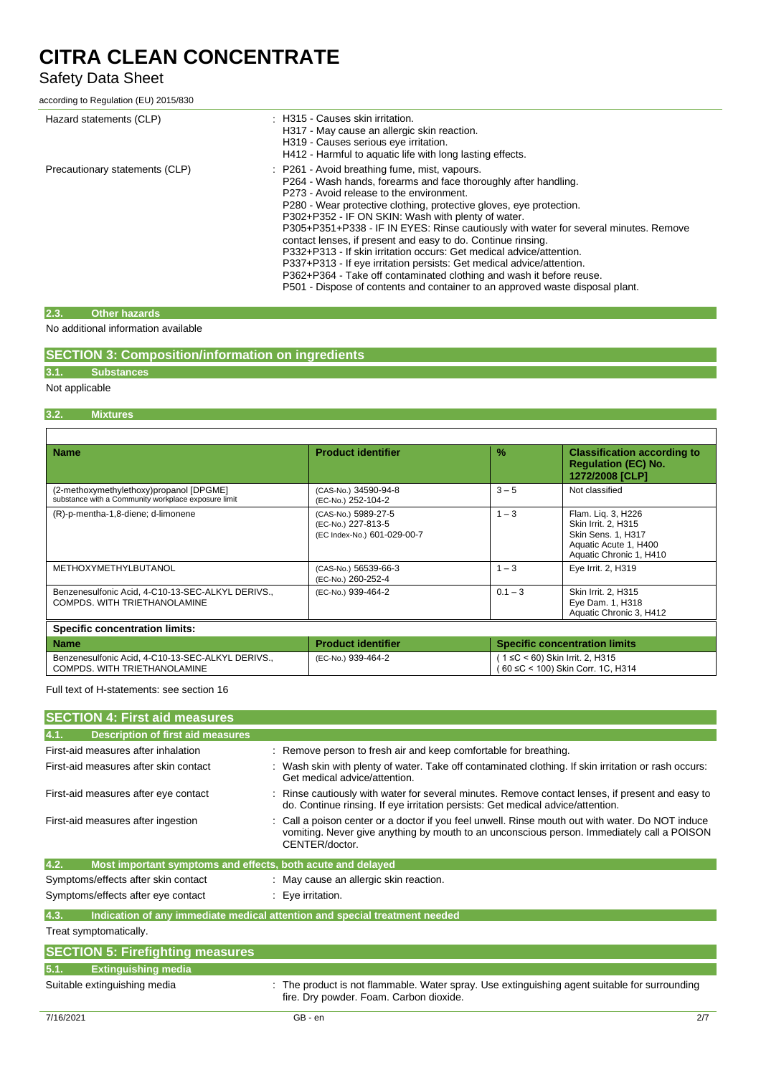## Safety Data Sheet

according to Regulation (EU) 2015/830

| Hazard statements (CLP)        | : H315 - Causes skin irritation.<br>H317 - May cause an allergic skin reaction.<br>H319 - Causes serious eye irritation.<br>H412 - Harmful to aquatic life with long lasting effects.                                                                                                                                                                                                                                                                                                                                                                                                                                                                                                                                                                       |
|--------------------------------|-------------------------------------------------------------------------------------------------------------------------------------------------------------------------------------------------------------------------------------------------------------------------------------------------------------------------------------------------------------------------------------------------------------------------------------------------------------------------------------------------------------------------------------------------------------------------------------------------------------------------------------------------------------------------------------------------------------------------------------------------------------|
| Precautionary statements (CLP) | : P261 - Avoid breathing fume, mist, vapours.<br>P264 - Wash hands, forearms and face thoroughly after handling.<br>P273 - Avoid release to the environment.<br>P280 - Wear protective clothing, protective gloves, eye protection.<br>P302+P352 - IF ON SKIN: Wash with plenty of water.<br>P305+P351+P338 - IF IN EYES: Rinse cautiously with water for several minutes. Remove<br>contact lenses, if present and easy to do. Continue rinsing.<br>P332+P313 - If skin irritation occurs: Get medical advice/attention.<br>P337+P313 - If eye irritation persists: Get medical advice/attention.<br>P362+P364 - Take off contaminated clothing and wash it before reuse.<br>P501 - Dispose of contents and container to an approved waste disposal plant. |

#### **2.3. Other hazards**

No additional information available

|  | <b>SECTION 3: Composition/information on ingredients</b> |  |
|--|----------------------------------------------------------|--|
|--|----------------------------------------------------------|--|

## **3.1. Substances**

### Not applicable

r

**3.2. Mixtures**

| <b>Name</b>                                                                                    | <b>Product identifier</b>                                                | $\frac{0}{2}$ | <b>Classification according to</b><br><b>Regulation (EC) No.</b><br>1272/2008 [CLP]                                 |
|------------------------------------------------------------------------------------------------|--------------------------------------------------------------------------|---------------|---------------------------------------------------------------------------------------------------------------------|
| (2-methoxymethylethoxy)propanol [DPGME]<br>substance with a Community workplace exposure limit | (CAS-No.) 34590-94-8<br>(EC-No.) 252-104-2                               | $3 - 5$       | Not classified                                                                                                      |
| (R)-p-mentha-1,8-diene; d-limonene                                                             | (CAS-No.) 5989-27-5<br>(EC-No.) 227-813-5<br>(EC Index-No.) 601-029-00-7 | $1 - 3$       | Flam. Lig. 3, H226<br>Skin Irrit. 2. H315<br>Skin Sens. 1, H317<br>Aquatic Acute 1, H400<br>Aquatic Chronic 1, H410 |
| METHOXYMETHYLBUTANOL                                                                           | (CAS-No.) 56539-66-3<br>(EC-No.) 260-252-4                               | $1 - 3$       | Eye Irrit. 2, H319                                                                                                  |
| Benzenesulfonic Acid, 4-C10-13-SEC-ALKYL DERIVS.,<br>COMPDS. WITH TRIETHANOLAMINE              | (EC-No.) 939-464-2                                                       | $0.1 - 3$     | Skin Irrit. 2, H315<br>Eye Dam. 1, H318<br>Aquatic Chronic 3, H412                                                  |

| <b>Name</b>                                                                       | <b>Product identifier</b> | <b>Specific concentration limits</b>                                  |
|-----------------------------------------------------------------------------------|---------------------------|-----------------------------------------------------------------------|
| Benzenesulfonic Acid, 4-C10-13-SEC-ALKYL DERIVS.,<br>COMPDS. WITH TRIETHANOLAMINE | (EC-No.) 939-464-2        | ( 1 ≤C < 60) Skin Irrit. 2, H315<br>(60 ≤C < 100) Skin Corr. 1C, H314 |

Full text of H-statements: see section 16

| <b>SECTION 4: First aid measures</b>                                |                                                                                                                                                                                                                |
|---------------------------------------------------------------------|----------------------------------------------------------------------------------------------------------------------------------------------------------------------------------------------------------------|
| <b>Description of first aid measures</b><br>4.1.                    |                                                                                                                                                                                                                |
| First-aid measures after inhalation                                 | : Remove person to fresh air and keep comfortable for breathing.                                                                                                                                               |
| First-aid measures after skin contact                               | Wash skin with plenty of water. Take off contaminated clothing. If skin irritation or rash occurs:<br>Get medical advice/attention.                                                                            |
| First-aid measures after eye contact                                | Rinse cautiously with water for several minutes. Remove contact lenses, if present and easy to<br>do. Continue rinsing. If eye irritation persists: Get medical advice/attention.                              |
| First-aid measures after ingestion                                  | Call a poison center or a doctor if you feel unwell. Rinse mouth out with water. Do NOT induce<br>vomiting. Never give anything by mouth to an unconscious person. Immediately call a POISON<br>CENTER/doctor. |
| 4.2.<br>Most important symptoms and effects, both acute and delayed |                                                                                                                                                                                                                |
| Symptoms/effects after skin contact                                 | : May cause an allergic skin reaction.                                                                                                                                                                         |
| Symptoms/effects after eye contact                                  | $: Eye$ irritation.                                                                                                                                                                                            |
| 4.3.                                                                | Indication of any immediate medical attention and special treatment needed                                                                                                                                     |
| Treat symptomatically.                                              |                                                                                                                                                                                                                |
| <b>SECTION 5: Firefighting measures</b>                             |                                                                                                                                                                                                                |
| 5.1.<br><b>Extinguishing media</b>                                  |                                                                                                                                                                                                                |
| Suitable extinguishing media                                        | The product is not flammable. Water spray. Use extinguishing agent suitable for surrounding<br>fire. Dry powder. Foam. Carbon dioxide.                                                                         |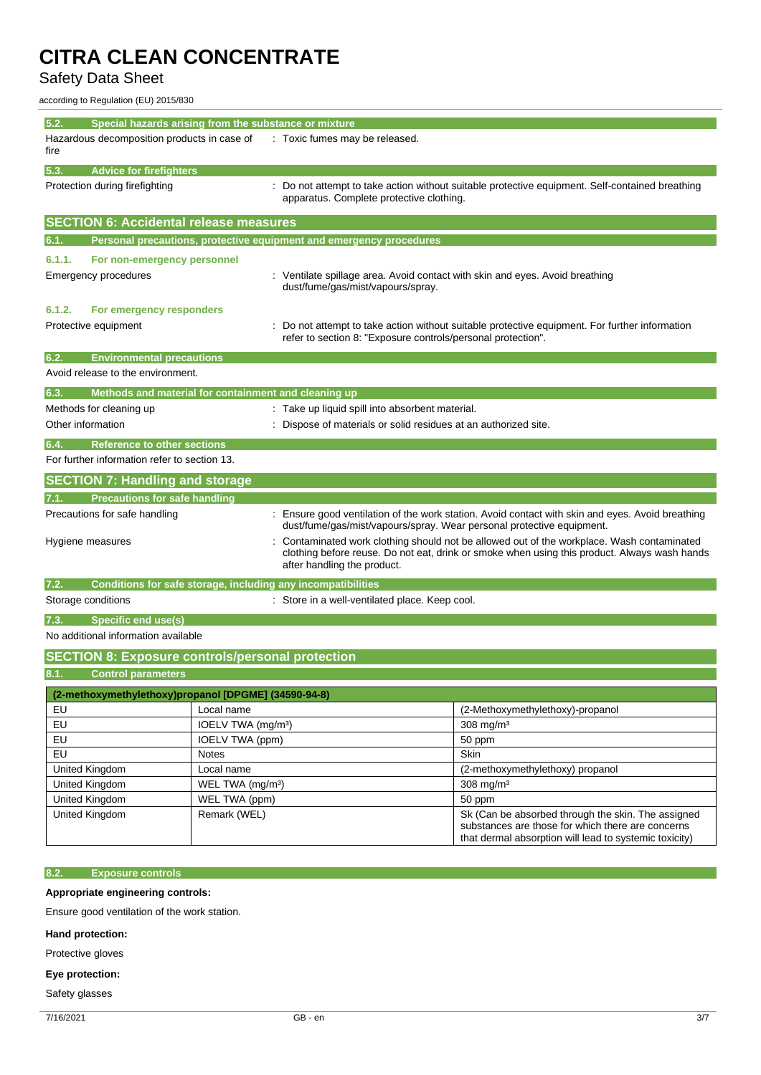Safety Data Sheet

according to Regulation (EU) 2015/830

| 5.2.<br>Special hazards arising from the substance or mixture                                                                   |                                                                       |                                                                                                                                                                                                                         |                                                                                              |
|---------------------------------------------------------------------------------------------------------------------------------|-----------------------------------------------------------------------|-------------------------------------------------------------------------------------------------------------------------------------------------------------------------------------------------------------------------|----------------------------------------------------------------------------------------------|
| Hazardous decomposition products in case of<br>fire                                                                             |                                                                       | : Toxic fumes may be released.                                                                                                                                                                                          |                                                                                              |
| 5.3.<br><b>Advice for firefighters</b>                                                                                          |                                                                       |                                                                                                                                                                                                                         |                                                                                              |
| Protection during firefighting                                                                                                  |                                                                       | : Do not attempt to take action without suitable protective equipment. Self-contained breathing<br>apparatus. Complete protective clothing.                                                                             |                                                                                              |
| <b>SECTION 6: Accidental release measures</b>                                                                                   |                                                                       |                                                                                                                                                                                                                         |                                                                                              |
| 6.1.                                                                                                                            |                                                                       | Personal precautions, protective equipment and emergency procedures                                                                                                                                                     |                                                                                              |
| 6.1.1.<br>For non-emergency personnel                                                                                           |                                                                       |                                                                                                                                                                                                                         |                                                                                              |
| Emergency procedures                                                                                                            |                                                                       | : Ventilate spillage area. Avoid contact with skin and eyes. Avoid breathing<br>dust/fume/gas/mist/vapours/spray.                                                                                                       |                                                                                              |
| 6.1.2.<br>For emergency responders                                                                                              |                                                                       |                                                                                                                                                                                                                         |                                                                                              |
| Protective equipment                                                                                                            |                                                                       | refer to section 8: "Exposure controls/personal protection".                                                                                                                                                            | Do not attempt to take action without suitable protective equipment. For further information |
| 6.2.<br><b>Environmental precautions</b>                                                                                        |                                                                       |                                                                                                                                                                                                                         |                                                                                              |
| Avoid release to the environment.                                                                                               |                                                                       |                                                                                                                                                                                                                         |                                                                                              |
| 6.3.<br>Methods and material for containment and cleaning up                                                                    |                                                                       |                                                                                                                                                                                                                         |                                                                                              |
| Methods for cleaning up                                                                                                         |                                                                       | : Take up liquid spill into absorbent material.                                                                                                                                                                         |                                                                                              |
| Other information                                                                                                               | Dispose of materials or solid residues at an authorized site.         |                                                                                                                                                                                                                         |                                                                                              |
| 6.4.<br><b>Reference to other sections</b>                                                                                      |                                                                       |                                                                                                                                                                                                                         |                                                                                              |
| For further information refer to section 13.                                                                                    |                                                                       |                                                                                                                                                                                                                         |                                                                                              |
| <b>SECTION 7: Handling and storage</b>                                                                                          |                                                                       |                                                                                                                                                                                                                         |                                                                                              |
| <b>Precautions for safe handling</b><br>7.1.                                                                                    |                                                                       |                                                                                                                                                                                                                         |                                                                                              |
| Precautions for safe handling<br>Ensure good ventilation of the work station. Avoid contact with skin and eyes. Avoid breathing |                                                                       |                                                                                                                                                                                                                         |                                                                                              |
|                                                                                                                                 | dust/fume/gas/mist/vapours/spray. Wear personal protective equipment. |                                                                                                                                                                                                                         |                                                                                              |
| Hygiene measures                                                                                                                |                                                                       | Contaminated work clothing should not be allowed out of the workplace. Wash contaminated<br>clothing before reuse. Do not eat, drink or smoke when using this product. Always wash hands<br>after handling the product. |                                                                                              |
| Conditions for safe storage, including any incompatibilities<br>7.2.                                                            |                                                                       |                                                                                                                                                                                                                         |                                                                                              |
| Storage conditions                                                                                                              | : Store in a well-ventilated place. Keep cool.                        |                                                                                                                                                                                                                         |                                                                                              |
| 7.3.<br>Specific end use(s)                                                                                                     |                                                                       |                                                                                                                                                                                                                         |                                                                                              |
| No additional information available                                                                                             |                                                                       |                                                                                                                                                                                                                         |                                                                                              |
| <b>SECTION 8: Exposure controls/personal protection</b>                                                                         |                                                                       |                                                                                                                                                                                                                         |                                                                                              |
| 8.1.<br><b>Control parameters</b>                                                                                               |                                                                       |                                                                                                                                                                                                                         |                                                                                              |
| (2-methoxymethylethoxy)propanol [DPGME] (34590-94-8)                                                                            |                                                                       |                                                                                                                                                                                                                         |                                                                                              |
| EU                                                                                                                              | Local name                                                            |                                                                                                                                                                                                                         | (2-Methoxymethylethoxy)-propanol                                                             |
| EU                                                                                                                              | IOELV TWA (mg/m <sup>3</sup> )                                        |                                                                                                                                                                                                                         | 308 mg/m $3$                                                                                 |
| EU                                                                                                                              | IOELV TWA (ppm)                                                       |                                                                                                                                                                                                                         | 50 ppm                                                                                       |
| EU                                                                                                                              | Notes                                                                 |                                                                                                                                                                                                                         | Skin                                                                                         |
| United Kingdom                                                                                                                  | Local name                                                            |                                                                                                                                                                                                                         | (2-methoxymethylethoxy) propanol                                                             |
| United Kingdom                                                                                                                  | WEL TWA (mg/m <sup>3</sup> )                                          |                                                                                                                                                                                                                         | 308 mg/m <sup>3</sup>                                                                        |
| United Kingdom                                                                                                                  | WEL TWA (ppm)                                                         |                                                                                                                                                                                                                         | 50 ppm                                                                                       |

United Kingdom Remark (WEL) Remark (WEL) Sk (Can be absorbed through the skin. The assigned

#### **8.2. Exposure controls**

**Appropriate engineering controls:**

Ensure good ventilation of the work station.

**Hand protection:**

Protective gloves

**Eye protection:**

Safety glasses

substances are those for which there are concerns that dermal absorption will lead to systemic toxicity)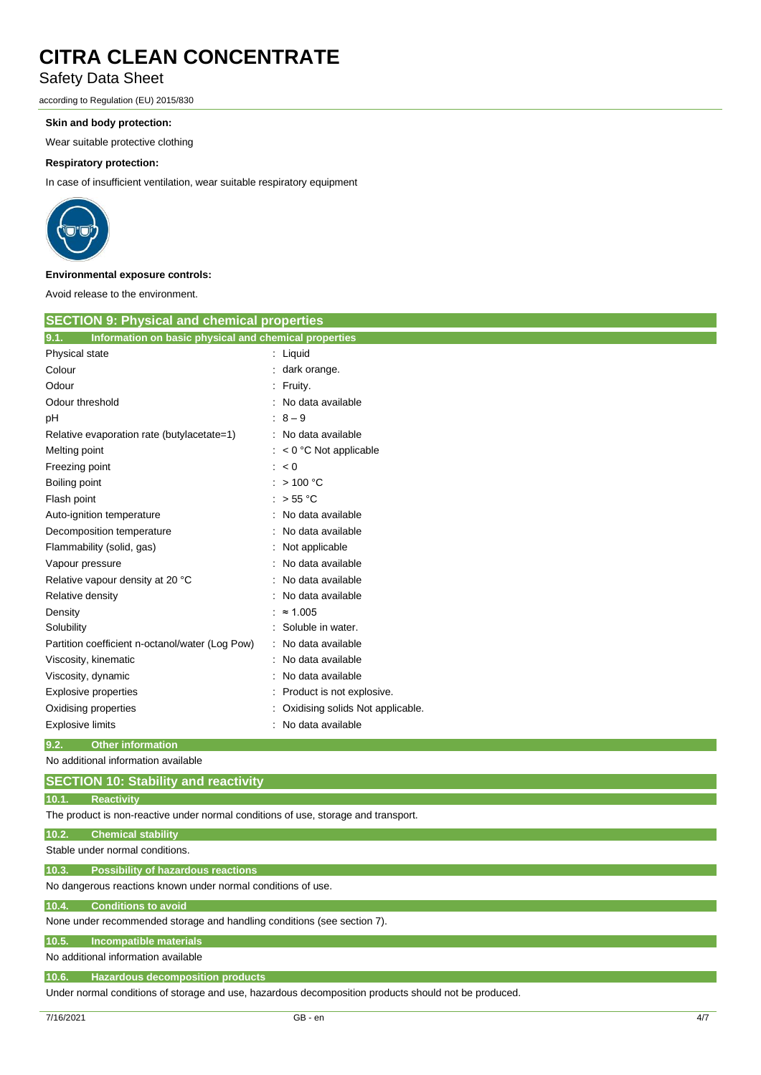## Safety Data Sheet

according to Regulation (EU) 2015/830

#### **Skin and body protection:**

Wear suitable protective clothing

#### **Respiratory protection:**

In case of insufficient ventilation, wear suitable respiratory equipment



#### **Environmental exposure controls:**

Avoid release to the environment.

| <b>SECTION 9: Physical and chemical properties</b>            |                                  |  |
|---------------------------------------------------------------|----------------------------------|--|
| 9.1.<br>Information on basic physical and chemical properties |                                  |  |
| Physical state                                                | : Liquid                         |  |
| Colour                                                        | dark orange.                     |  |
| Odour                                                         | : Fruity.                        |  |
| Odour threshold                                               | No data available                |  |
| pН                                                            | $: 8 - 9$                        |  |
| Relative evaporation rate (butylacetate=1)                    | : No data available              |  |
| Melting point                                                 | $: < 0$ °C Not applicable        |  |
| Freezing point                                                | : < 0                            |  |
| Boiling point                                                 | : $>100 °C$                      |  |
| Flash point                                                   | : $> 55 °C$                      |  |
| Auto-ignition temperature                                     | : No data available              |  |
| Decomposition temperature                                     | No data available                |  |
| Flammability (solid, gas)                                     | Not applicable                   |  |
| Vapour pressure                                               | No data available                |  |
| Relative vapour density at 20 °C                              | No data available                |  |
| Relative density                                              | No data available                |  |
| Density                                                       | $\approx 1.005$                  |  |
| Solubility                                                    | Soluble in water.                |  |
| Partition coefficient n-octanol/water (Log Pow)               | No data available                |  |
| Viscosity, kinematic                                          | No data available                |  |
| Viscosity, dynamic                                            | No data available                |  |
| <b>Explosive properties</b>                                   | Product is not explosive.        |  |
| Oxidising properties                                          | Oxidising solids Not applicable. |  |
| Explosive limits                                              | No data available                |  |
| 9.2.<br><b>Other information</b>                              |                                  |  |

No additional information available

### **SECTION 10: Stability and reactivity**

**10.1. Reactivity**

The product is non-reactive under normal conditions of use, storage and transport.

#### **10.2. Chemical stability**

Stable under normal conditions.

**10.3. Possibility of hazardous reactions**

No dangerous reactions known under normal conditions of use.

#### **10.4. Conditions to avoid**

None under recommended storage and handling conditions (see section 7).

#### **10.5. Incompatible materials**

#### No additional information available

**10.6. Hazardous decomposition products**

Under normal conditions of storage and use, hazardous decomposition products should not be produced.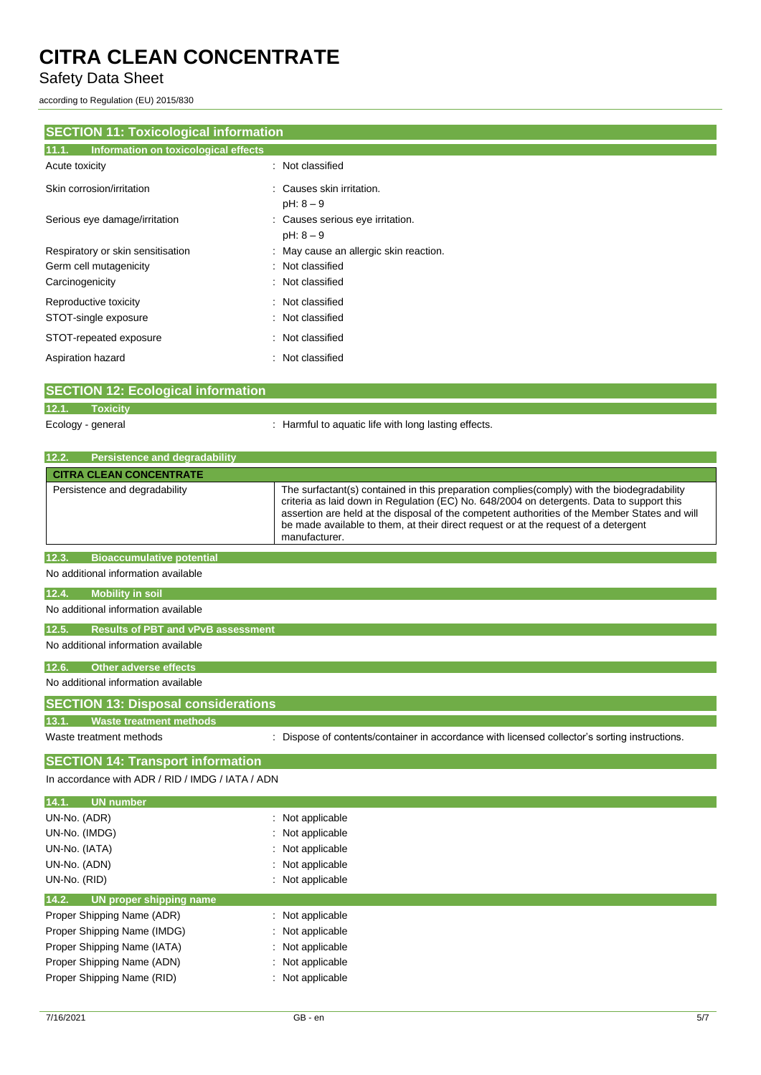Safety Data Sheet

according to Regulation (EU) 2015/830

| <b>SECTION 11: Toxicological information</b><br>Information on toxicological effects<br>11.1. |                                        |  |  |  |
|-----------------------------------------------------------------------------------------------|----------------------------------------|--|--|--|
|                                                                                               |                                        |  |  |  |
| Skin corrosion/irritation                                                                     | : Causes skin irritation.              |  |  |  |
|                                                                                               | $pH: 8 - 9$                            |  |  |  |
| Serious eye damage/irritation                                                                 | : Causes serious eye irritation.       |  |  |  |
|                                                                                               | $pH: 8 - 9$                            |  |  |  |
| Respiratory or skin sensitisation                                                             | : May cause an allergic skin reaction. |  |  |  |
| Germ cell mutagenicity                                                                        | : Not classified                       |  |  |  |
| Carcinogenicity                                                                               | : Not classified                       |  |  |  |
| Reproductive toxicity                                                                         | : Not classified                       |  |  |  |
| STOT-single exposure                                                                          | : Not classified                       |  |  |  |
| STOT-repeated exposure                                                                        | : Not classified                       |  |  |  |
| Aspiration hazard                                                                             | : Not classified                       |  |  |  |

| SECTION 12: Ecological information |                   |                                                      |
|------------------------------------|-------------------|------------------------------------------------------|
| 12.1.                              | Toxicity          |                                                      |
|                                    | Ecology - general | : Harmful to aquatic life with long lasting effects. |
| <b>Contract Contract Contract</b>  |                   |                                                      |

| 12.2.<br><b>Persistence and degradability</b>      |                                                                                                                                                                                                                                                                                                                                                                                                   |
|----------------------------------------------------|---------------------------------------------------------------------------------------------------------------------------------------------------------------------------------------------------------------------------------------------------------------------------------------------------------------------------------------------------------------------------------------------------|
| <b>CITRA CLEAN CONCENTRATE</b>                     |                                                                                                                                                                                                                                                                                                                                                                                                   |
| Persistence and degradability                      | The surfactant(s) contained in this preparation complies (comply) with the biodegradability<br>criteria as laid down in Regulation (EC) No. 648/2004 on detergents. Data to support this<br>assertion are held at the disposal of the competent authorities of the Member States and will<br>be made available to them, at their direct request or at the request of a detergent<br>manufacturer. |
| <b>Bioaccumulative potential</b><br>12.3.          |                                                                                                                                                                                                                                                                                                                                                                                                   |
| No additional information available                |                                                                                                                                                                                                                                                                                                                                                                                                   |
| 12.4.<br><b>Mobility in soil</b>                   |                                                                                                                                                                                                                                                                                                                                                                                                   |
| No additional information available                |                                                                                                                                                                                                                                                                                                                                                                                                   |
| 12.5.<br><b>Results of PBT and vPvB assessment</b> |                                                                                                                                                                                                                                                                                                                                                                                                   |
| No additional information available                |                                                                                                                                                                                                                                                                                                                                                                                                   |
| 12.6.<br><b>Other adverse effects</b>              |                                                                                                                                                                                                                                                                                                                                                                                                   |
| No additional information available                |                                                                                                                                                                                                                                                                                                                                                                                                   |
| <b>SECTION 13: Disposal considerations</b>         |                                                                                                                                                                                                                                                                                                                                                                                                   |
| 13.1.<br><b>Waste treatment methods</b>            |                                                                                                                                                                                                                                                                                                                                                                                                   |
| Waste treatment methods                            | : Dispose of contents/container in accordance with licensed collector's sorting instructions.                                                                                                                                                                                                                                                                                                     |
| <b>SECTION 14: Transport information</b>           |                                                                                                                                                                                                                                                                                                                                                                                                   |
| In accordance with ADR / RID / IMDG / IATA / ADN   |                                                                                                                                                                                                                                                                                                                                                                                                   |
| <b>UN</b> number<br>14.1.                          |                                                                                                                                                                                                                                                                                                                                                                                                   |
| UN-No. (ADR)                                       | Not applicable                                                                                                                                                                                                                                                                                                                                                                                    |
| UN-No. (IMDG)                                      | Not applicable                                                                                                                                                                                                                                                                                                                                                                                    |
| UN-No. (IATA)                                      | Not applicable                                                                                                                                                                                                                                                                                                                                                                                    |
| UN-No. (ADN)                                       | Not applicable                                                                                                                                                                                                                                                                                                                                                                                    |
| UN-No. (RID)                                       | Not applicable                                                                                                                                                                                                                                                                                                                                                                                    |
| 14.2.<br>UN proper shipping name                   |                                                                                                                                                                                                                                                                                                                                                                                                   |
| Proper Shipping Name (ADR)                         | Not applicable                                                                                                                                                                                                                                                                                                                                                                                    |
| Proper Shipping Name (IMDG)                        | Not applicable                                                                                                                                                                                                                                                                                                                                                                                    |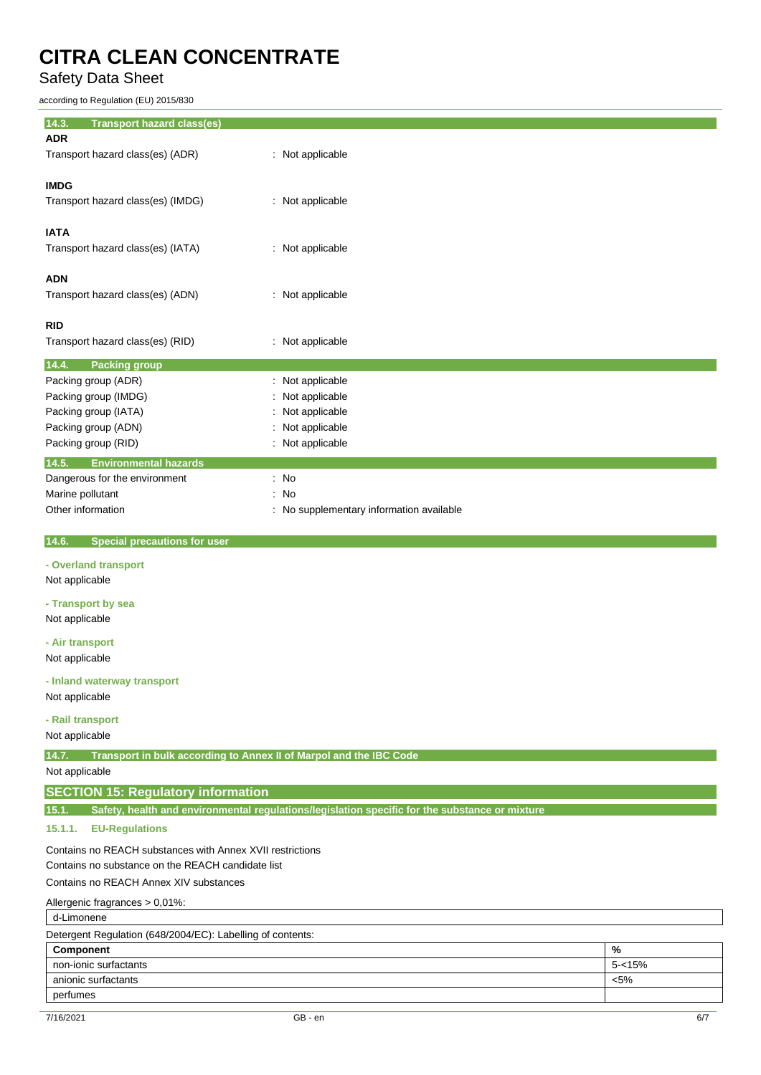Safety Data Sheet

according to Regulation (EU) 2015/830

| 14.3.<br><b>Transport hazard class(es)</b> |                                          |
|--------------------------------------------|------------------------------------------|
| <b>ADR</b>                                 |                                          |
| Transport hazard class(es) (ADR)           | : Not applicable                         |
|                                            |                                          |
| <b>IMDG</b>                                |                                          |
| Transport hazard class(es) (IMDG)          | : Not applicable                         |
|                                            |                                          |
| <b>IATA</b>                                |                                          |
| Transport hazard class(es) (IATA)          | : Not applicable                         |
|                                            |                                          |
| <b>ADN</b>                                 |                                          |
| Transport hazard class(es) (ADN)           | : Not applicable                         |
|                                            |                                          |
| <b>RID</b>                                 |                                          |
| Transport hazard class(es) (RID)           | : Not applicable                         |
| 14.4.<br><b>Packing group</b>              |                                          |
| Packing group (ADR)                        | : Not applicable                         |
| Packing group (IMDG)                       | Not applicable                           |
| Packing group (IATA)                       | Not applicable                           |
| Packing group (ADN)                        | : Not applicable                         |
| Packing group (RID)                        | : Not applicable                         |
| 14.5.<br><b>Environmental hazards</b>      |                                          |
| Dangerous for the environment              | : No                                     |
| Marine pollutant                           | : No                                     |
| Other information                          | : No supplementary information available |
|                                            |                                          |
|                                            |                                          |

**14.6. Special precautions for user**

#### **- Overland transport**

Not applicable

**- Transport by sea** Not applicable

**- Air transport**

Not applicable

#### **- Inland waterway transport**

Not applicable

#### **- Rail transport**

Not applicable

**14.7. Transport in bulk according to Annex II of Marpol and the IBC Code**

Not applicable

### **SECTION 15: Regulatory information**

**15.1. Safety, health and environmental regulations/legislation specific for the substance or mixture**

### **15.1.1. EU-Regulations**

Contains no REACH substances with Annex XVII restrictions Contains no substance on the REACH candidate list Contains no REACH Annex XIV substances

Allergenic fragrances > 0,01%:

| d-Limonene                                                 |           |  |
|------------------------------------------------------------|-----------|--|
| Detergent Regulation (648/2004/EC): Labelling of contents: |           |  |
| Component                                                  | %         |  |
| non-ionic surfactants                                      | $5 - 15%$ |  |
| anionic surfactants                                        | $< 5\%$   |  |
| perfumes                                                   |           |  |